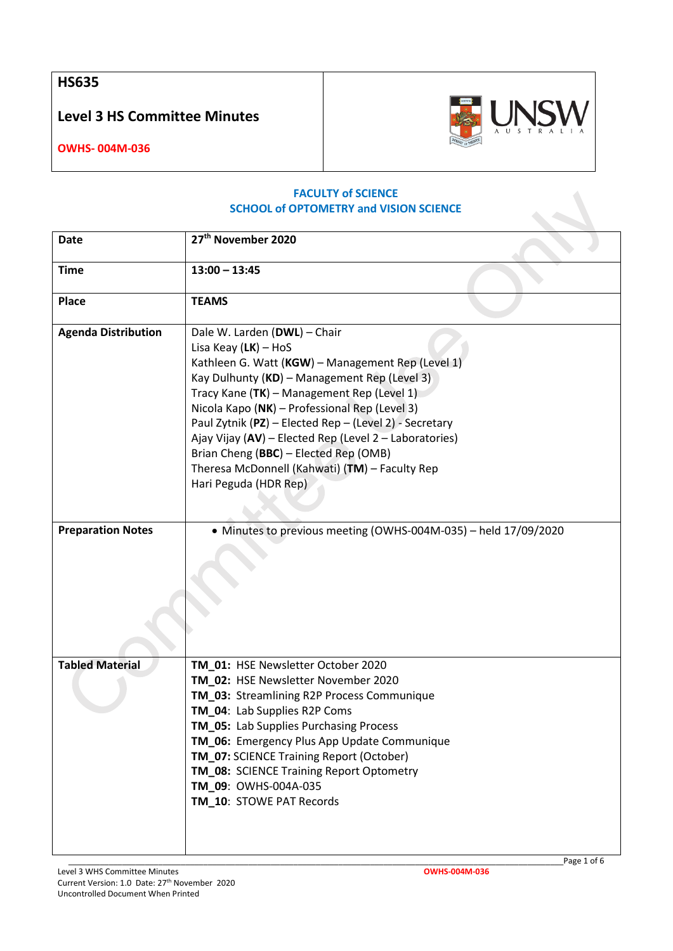**HS635**

**Level 3 HS Committee Minutes**



**OWHS- 004M-036**

## **FACULTY of SCIENCE SCHOOL of OPTOMETRY and VISION SCIENCE**

| <b>Date</b>                | 27 <sup>th</sup> November 2020                                                                                                                                                                                                                                                                                                                                                                                                                                                                     |
|----------------------------|----------------------------------------------------------------------------------------------------------------------------------------------------------------------------------------------------------------------------------------------------------------------------------------------------------------------------------------------------------------------------------------------------------------------------------------------------------------------------------------------------|
| <b>Time</b>                | $13:00 - 13:45$                                                                                                                                                                                                                                                                                                                                                                                                                                                                                    |
| Place                      | <b>TEAMS</b>                                                                                                                                                                                                                                                                                                                                                                                                                                                                                       |
| <b>Agenda Distribution</b> | Dale W. Larden (DWL) - Chair<br>Lisa Keay $(LK)$ – HoS<br>Kathleen G. Watt (KGW) - Management Rep (Level 1)<br>Kay Dulhunty (KD) - Management Rep (Level 3)<br>Tracy Kane (TK) - Management Rep (Level 1)<br>Nicola Kapo (NK) - Professional Rep (Level 3)<br>Paul Zytnik (PZ) - Elected Rep - (Level 2) - Secretary<br>Ajay Vijay (AV) - Elected Rep (Level 2 - Laboratories)<br>Brian Cheng (BBC) - Elected Rep (OMB)<br>Theresa McDonnell (Kahwati) (TM) - Faculty Rep<br>Hari Peguda (HDR Rep) |
| <b>Preparation Notes</b>   | • Minutes to previous meeting (OWHS-004M-035) - held 17/09/2020                                                                                                                                                                                                                                                                                                                                                                                                                                    |
| <b>Tabled Material</b>     | TM_01: HSE Newsletter October 2020<br>TM_02: HSE Newsletter November 2020<br>TM_03: Streamlining R2P Process Communique<br>TM_04: Lab Supplies R2P Coms<br>TM_05: Lab Supplies Purchasing Process<br>TM_06: Emergency Plus App Update Communique<br>TM_07: SCIENCE Training Report (October)<br>TM_08: SCIENCE Training Report Optometry<br>TM_09: OWHS-004A-035<br>TM_10: STOWE PAT Records                                                                                                       |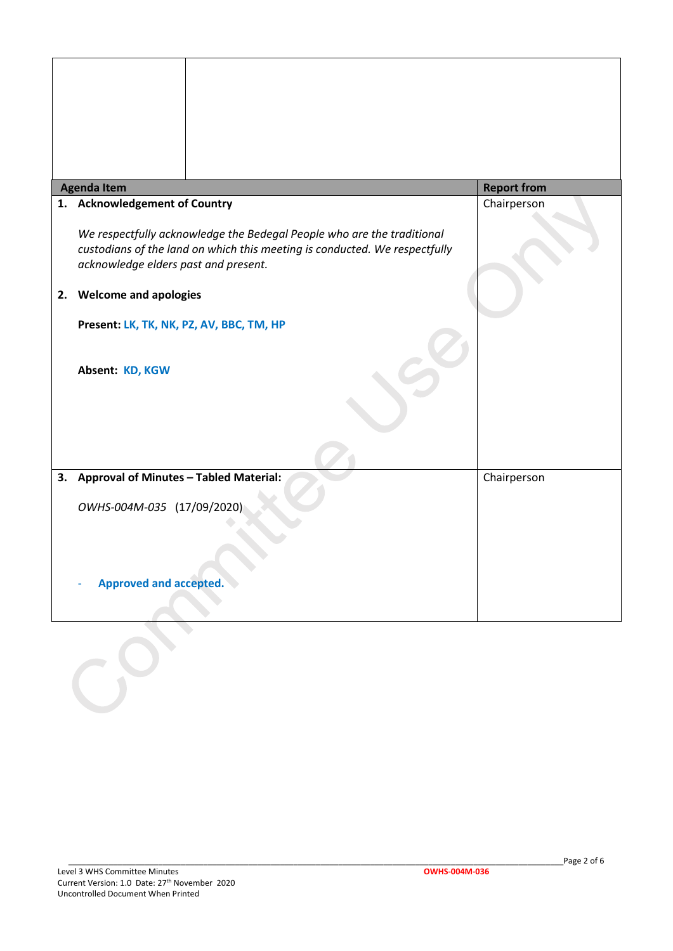| <b>Agenda Item</b>                                                                                                                                                                           | <b>Report from</b> |
|----------------------------------------------------------------------------------------------------------------------------------------------------------------------------------------------|--------------------|
| 1. Acknowledgement of Country                                                                                                                                                                | Chairperson        |
| We respectfully acknowledge the Bedegal People who are the traditional<br>custodians of the land on which this meeting is conducted. We respectfully<br>acknowledge elders past and present. |                    |
| 2. Welcome and apologies                                                                                                                                                                     |                    |
| Present: LK, TK, NK, PZ, AV, BBC, TM, HP                                                                                                                                                     |                    |
|                                                                                                                                                                                              |                    |
| Absent: KD, KGW                                                                                                                                                                              |                    |
|                                                                                                                                                                                              |                    |
|                                                                                                                                                                                              |                    |
| 3. Approval of Minutes - Tabled Material:                                                                                                                                                    | Chairperson        |
| OWHS-004M-035 (17/09/2020)                                                                                                                                                                   |                    |
|                                                                                                                                                                                              |                    |
|                                                                                                                                                                                              |                    |
| <b>Approved and accepted.</b>                                                                                                                                                                |                    |
|                                                                                                                                                                                              |                    |

 $\epsilon$ 

 $\mathbf{r}$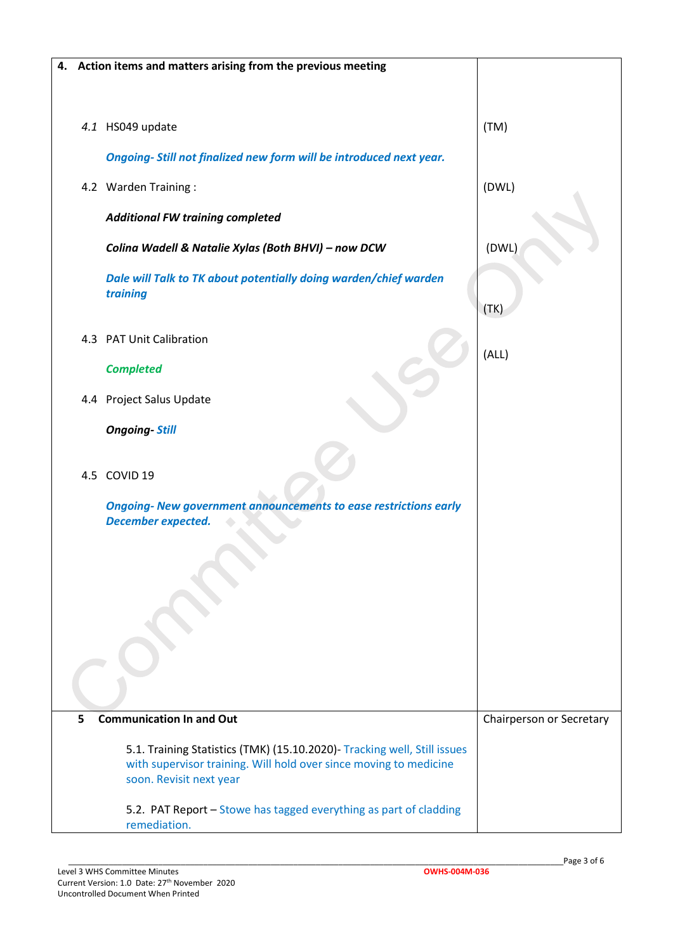|                                                                          |  | 4. Action items and matters arising from the previous meeting                                       |                          |
|--------------------------------------------------------------------------|--|-----------------------------------------------------------------------------------------------------|--------------------------|
|                                                                          |  |                                                                                                     |                          |
|                                                                          |  |                                                                                                     |                          |
|                                                                          |  | 4.1 HS049 update                                                                                    | (TM)                     |
|                                                                          |  | Ongoing-Still not finalized new form will be introduced next year.                                  |                          |
|                                                                          |  | 4.2 Warden Training:                                                                                | (DWL)                    |
|                                                                          |  | <b>Additional FW training completed</b>                                                             |                          |
|                                                                          |  | Colina Wadell & Natalie Xylas (Both BHVI) - now DCW                                                 | (DWL)                    |
|                                                                          |  | Dale will Talk to TK about potentially doing warden/chief warden<br>training                        |                          |
|                                                                          |  |                                                                                                     | (TK)                     |
|                                                                          |  | 4.3 PAT Unit Calibration                                                                            | (ALL)                    |
|                                                                          |  | <b>Completed</b>                                                                                    |                          |
|                                                                          |  | 4.4 Project Salus Update                                                                            |                          |
|                                                                          |  | <b>Ongoing-Still</b>                                                                                |                          |
|                                                                          |  |                                                                                                     |                          |
|                                                                          |  | 4.5 COVID 19                                                                                        |                          |
|                                                                          |  | <b>Ongoing-New government announcements to ease restrictions early</b><br><b>December expected.</b> |                          |
|                                                                          |  |                                                                                                     |                          |
|                                                                          |  |                                                                                                     |                          |
|                                                                          |  |                                                                                                     |                          |
|                                                                          |  |                                                                                                     |                          |
|                                                                          |  |                                                                                                     |                          |
|                                                                          |  |                                                                                                     |                          |
|                                                                          |  |                                                                                                     |                          |
| 5                                                                        |  | <b>Communication In and Out</b>                                                                     | Chairperson or Secretary |
|                                                                          |  |                                                                                                     |                          |
| 5.1. Training Statistics (TMK) (15.10.2020)- Tracking well, Still issues |  | with supervisor training. Will hold over since moving to medicine                                   |                          |
| soon. Revisit next year                                                  |  |                                                                                                     |                          |
|                                                                          |  |                                                                                                     |                          |
|                                                                          |  | 5.2. PAT Report - Stowe has tagged everything as part of cladding<br>remediation.                   |                          |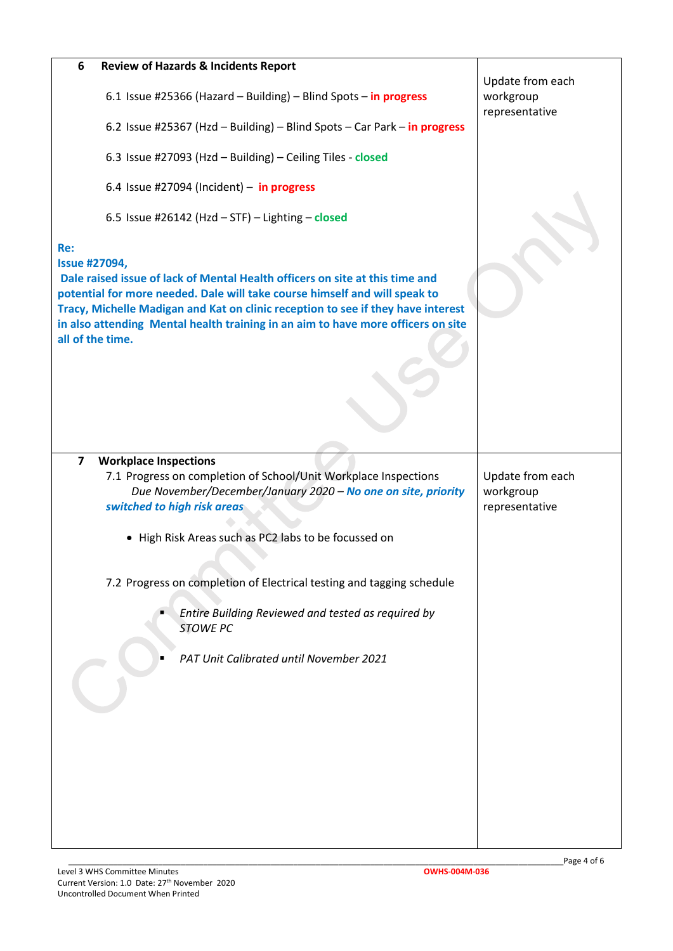| 6                                                                                                                                                                                                                                                                                                                                                          | <b>Review of Hazards &amp; Incidents Report</b>                                                                                  |                               |
|------------------------------------------------------------------------------------------------------------------------------------------------------------------------------------------------------------------------------------------------------------------------------------------------------------------------------------------------------------|----------------------------------------------------------------------------------------------------------------------------------|-------------------------------|
|                                                                                                                                                                                                                                                                                                                                                            | 6.1 Issue #25366 (Hazard - Building) - Blind Spots - in progress                                                                 | Update from each<br>workgroup |
|                                                                                                                                                                                                                                                                                                                                                            |                                                                                                                                  | representative                |
|                                                                                                                                                                                                                                                                                                                                                            | 6.2 Issue #25367 (Hzd - Building) - Blind Spots - Car Park - in progress                                                         |                               |
|                                                                                                                                                                                                                                                                                                                                                            | 6.3 Issue #27093 (Hzd - Building) - Ceiling Tiles - closed                                                                       |                               |
|                                                                                                                                                                                                                                                                                                                                                            | 6.4 Issue #27094 (Incident) - in progress                                                                                        |                               |
|                                                                                                                                                                                                                                                                                                                                                            | 6.5 Issue #26142 (Hzd $-$ STF) $-$ Lighting $-$ closed                                                                           |                               |
| Re:                                                                                                                                                                                                                                                                                                                                                        |                                                                                                                                  |                               |
|                                                                                                                                                                                                                                                                                                                                                            |                                                                                                                                  |                               |
| <b>Issue #27094,</b><br>Dale raised issue of lack of Mental Health officers on site at this time and<br>potential for more needed. Dale will take course himself and will speak to<br>Tracy, Michelle Madigan and Kat on clinic reception to see if they have interest<br>in also attending Mental health training in an aim to have more officers on site |                                                                                                                                  |                               |
| all of the time.                                                                                                                                                                                                                                                                                                                                           |                                                                                                                                  |                               |
|                                                                                                                                                                                                                                                                                                                                                            |                                                                                                                                  |                               |
|                                                                                                                                                                                                                                                                                                                                                            |                                                                                                                                  |                               |
| $\overline{7}$                                                                                                                                                                                                                                                                                                                                             | <b>Workplace Inspections</b>                                                                                                     |                               |
|                                                                                                                                                                                                                                                                                                                                                            | 7.1 Progress on completion of School/Unit Workplace Inspections<br>Due November/December/January 2020 - No one on site, priority | Update from each<br>workgroup |
|                                                                                                                                                                                                                                                                                                                                                            | switched to high risk areas                                                                                                      | representative                |
|                                                                                                                                                                                                                                                                                                                                                            | • High Risk Areas such as PC2 labs to be focussed on                                                                             |                               |
|                                                                                                                                                                                                                                                                                                                                                            |                                                                                                                                  |                               |
|                                                                                                                                                                                                                                                                                                                                                            | 7.2 Progress on completion of Electrical testing and tagging schedule                                                            |                               |
|                                                                                                                                                                                                                                                                                                                                                            | Entire Building Reviewed and tested as required by<br><b>STOWE PC</b>                                                            |                               |
|                                                                                                                                                                                                                                                                                                                                                            | PAT Unit Calibrated until November 2021                                                                                          |                               |
|                                                                                                                                                                                                                                                                                                                                                            |                                                                                                                                  |                               |
|                                                                                                                                                                                                                                                                                                                                                            |                                                                                                                                  |                               |
|                                                                                                                                                                                                                                                                                                                                                            |                                                                                                                                  |                               |
|                                                                                                                                                                                                                                                                                                                                                            |                                                                                                                                  |                               |
|                                                                                                                                                                                                                                                                                                                                                            |                                                                                                                                  |                               |
|                                                                                                                                                                                                                                                                                                                                                            |                                                                                                                                  |                               |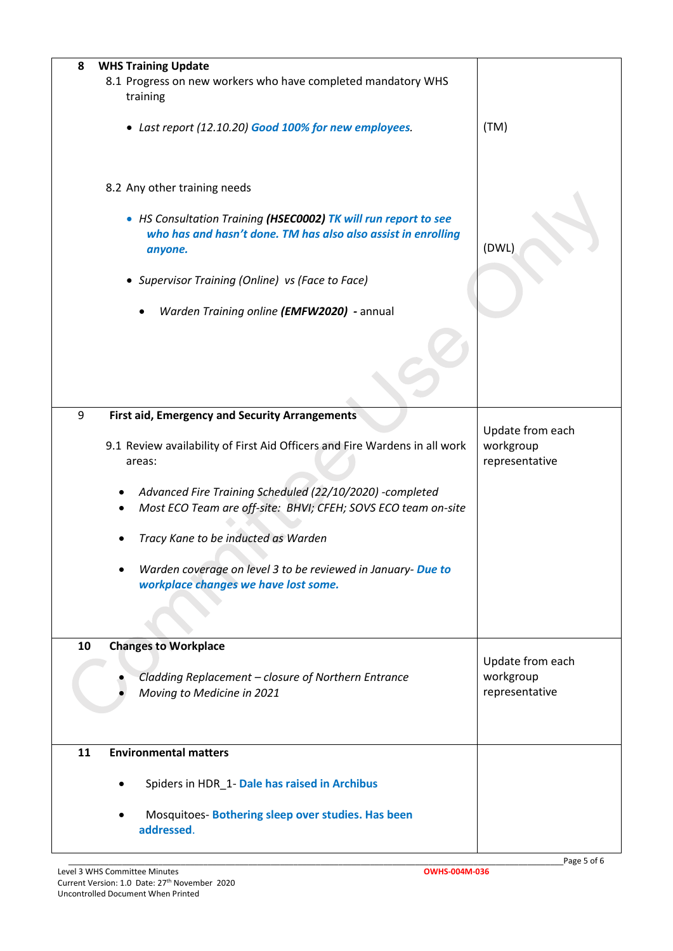| <b>WHS Training Update</b><br>8                                                                                                             |                                                 |
|---------------------------------------------------------------------------------------------------------------------------------------------|-------------------------------------------------|
| 8.1 Progress on new workers who have completed mandatory WHS<br>training                                                                    |                                                 |
| • Last report (12.10.20) Good 100% for new employees.                                                                                       | (TM)                                            |
| 8.2 Any other training needs                                                                                                                |                                                 |
| • HS Consultation Training (HSEC0002) TK will run report to see<br>who has and hasn't done. TM has also also assist in enrolling<br>anyone. | (DWL)                                           |
| • Supervisor Training (Online) vs (Face to Face)                                                                                            |                                                 |
| Warden Training online (EMFW2020) - annual                                                                                                  |                                                 |
|                                                                                                                                             |                                                 |
| 9<br><b>First aid, Emergency and Security Arrangements</b>                                                                                  |                                                 |
| 9.1 Review availability of First Aid Officers and Fire Wardens in all work<br>areas:                                                        | Update from each<br>workgroup<br>representative |
| Advanced Fire Training Scheduled (22/10/2020) -completed<br>Most ECO Team are off-site: BHVI; CFEH; SOVS ECO team on-site<br>٠              |                                                 |
| Tracy Kane to be inducted as Warden                                                                                                         |                                                 |
| Warden coverage on level 3 to be reviewed in January- Due to<br>workplace changes we have lost some.                                        |                                                 |
| 10<br><b>Changes to Workplace</b>                                                                                                           |                                                 |
| Cladding Replacement - closure of Northern Entrance<br>Moving to Medicine in 2021                                                           | Update from each<br>workgroup<br>representative |
| 11<br><b>Environmental matters</b>                                                                                                          |                                                 |
| Spiders in HDR_1- Dale has raised in Archibus                                                                                               |                                                 |
| Mosquitoes-Bothering sleep over studies. Has been<br>addressed.                                                                             |                                                 |